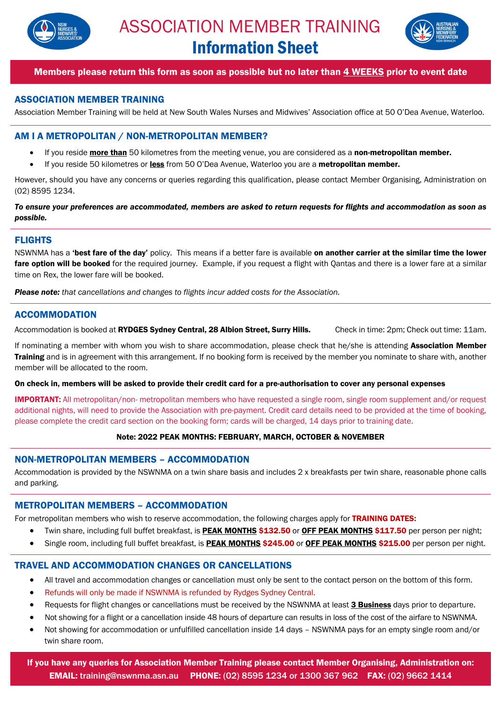



# Members please return this form as soon as possible but no later than 4 WEEKS prior to event date

# ASSOCIATION MEMBER TRAINING

Association Member Training will be held at New South Wales Nurses and Midwives' Association office at 50 O'Dea Avenue, Waterloo.

# AM I A METROPOLITAN / NON-METROPOLITAN MEMBER?

- If you reside **more than** 50 kilometres from the meeting venue, you are considered as a non-metropolitan member.
- If you reside 50 kilometres or less from 50 O'Dea Avenue, Waterloo you are a metropolitan member.

However, should you have any concerns or queries regarding this qualification, please contact Member Organising, Administration on (02) 8595 1234.

*To ensure your preferences are accommodated, members are asked to return requests for flights and accommodation as soon as possible.*

#### FLIGHTS

NSWNMA has a 'best fare of the day' policy. This means if a better fare is available on another carrier at the similar time the lower fare option will be booked for the required journey. Example, if you request a flight with Qantas and there is a lower fare at a similar time on Rex, the lower fare will be booked.

*Please note: that cancellations and changes to flights incur added costs for the Association.* 

# ACCOMMODATION

Accommodation is booked at RYDGES Sydney Central, 28 Albion Street, Surry Hills. Check in time: 2pm; Check out time: 11am.

If nominating a member with whom you wish to share accommodation, please check that he/she is attending **Association Member** Training and is in agreement with this arrangement. If no booking form is received by the member you nominate to share with, another member will be allocated to the room.

On check in, members will be asked to provide their credit card for a pre-authorisation to cover any personal expenses

**IMPORTANT:** All metropolitan/non- metropolitan members who have requested a single room, single room supplement and/or request additional nights, will need to provide the Association with pre-payment. Credit card details need to be provided at the time of booking, please complete the credit card section on the booking form; cards will be charged, 14 days prior to training date.

#### Note: 2022 PEAK MONTHS: FEBRUARY, MARCH, OCTOBER & NOVEMBER

#### NON-METROPOLITAN MEMBERS – ACCOMMODATION

Accommodation is provided by the NSWNMA on a twin share basis and includes 2 x breakfasts per twin share, reasonable phone calls and parking.

# METROPOLITAN MEMBERS – ACCOMMODATION

For metropolitan members who wish to reserve accommodation, the following charges apply for TRAINING DATES:

- Twin share, including full buffet breakfast, is PEAK MONTHS \$132.50 or OFF PEAK MONTHS \$117.50 per person per night;
- Single room, including full buffet breakfast, is PEAK MONTHS \$245.00 or OFF PEAK MONTHS \$215.00 per person per night.

# TRAVEL AND ACCOMMODATION CHANGES OR CANCELLATIONS

- All travel and accommodation changes or cancellation must only be sent to the contact person on the bottom of this form.
- Refunds will only be made if NSWNMA is refunded by Rydges Sydney Central.
- Requests for flight changes or cancellations must be received by the NSWNMA at least **3 Business** days prior to departure.
- Not showing for a flight or a cancellation inside 48 hours of departure can results in loss of the cost of the airfare to NSWNMA.
- Not showing for accommodation or unfulfilled cancellation inside 14 days NSWNMA pays for an empty single room and/or twin share room.

If you have any queries for Association Member Training please contact Member Organising, Administration on: EMAIL: training@nswnma.asn.au PHONE: (02) 8595 1234 or 1300 367 962 FAX: (02) 9662 1414